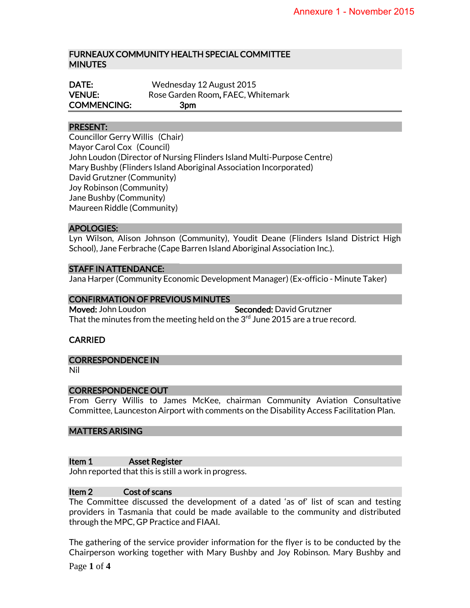## FURNEAUX COMMUNITY HEALTH SPECIAL COMMITTEE MINUTES

| DATE:              | Wednesday 12 August 2015          |
|--------------------|-----------------------------------|
| <b>VENUE:</b>      | Rose Garden Room, FAEC, Whitemark |
| <b>COMMENCING:</b> | 3pm                               |

## PRESENT:

Councillor Gerry Willis (Chair) Mayor Carol Cox (Council) John Loudon (Director of Nursing Flinders Island Multi-Purpose Centre) Mary Bushby (Flinders Island Aboriginal Association Incorporated) David Grutzner (Community) Joy Robinson (Community) Jane Bushby (Community) Maureen Riddle (Community)

#### APOLOGIES:

Lyn Wilson, Alison Johnson (Community), Youdit Deane (Flinders Island District High School), Jane Ferbrache (Cape Barren Island Aboriginal Association Inc.).

### STAFF IN ATTENDANCE:

Jana Harper (Community Economic Development Manager) (Ex-officio - Minute Taker)

### CONFIRMATION OF PREVIOUS MINUTES

Moved: John Loudon Seconded: David Grutzner That the minutes from the meeting held on the  $3<sup>rd</sup>$  June 2015 are a true record.

## CARRIED

#### CORRESPONDENCE IN

Nil

## CORRESPONDENCE OUT

From Gerry Willis to James McKee, chairman Community Aviation Consultative Committee, Launceston Airport with comments on the Disability Access Facilitation Plan.

#### MATTERS ARISING

#### Item 1 Asset Register

John reported that this is still a work in progress.

### Item 2 Cost of scans

The Committee discussed the development of a dated 'as of' list of scan and testing providers in Tasmania that could be made available to the community and distributed through the MPC, GP Practice and FIAAI.

The gathering of the service provider information for the flyer is to be conducted by the Chairperson working together with Mary Bushby and Joy Robinson. Mary Bushby and

Page **1** of **4**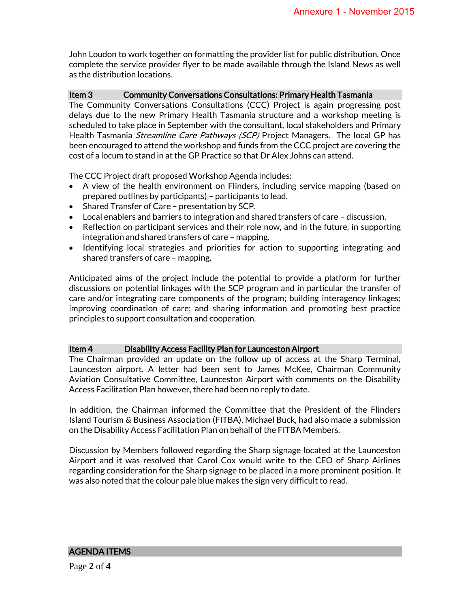John Loudon to work together on formatting the provider list for public distribution. Once complete the service provider flyer to be made available through the Island News as well as the distribution locations.

## Item 3 Community Conversations Consultations: Primary Health Tasmania

The Community Conversations Consultations (CCC) Project is again progressing post delays due to the new Primary Health Tasmania structure and a workshop meeting is scheduled to take place in September with the consultant, local stakeholders and Primary Health Tasmania *Streamline Care Pathways (SCP)* Project Managers. The local GP has been encouraged to attend the workshop and funds from the CCC project are covering the cost of a locum to stand in at the GP Practice so that Dr Alex Johns can attend.

The CCC Project draft proposed Workshop Agenda includes:

- A view of the health environment on Flinders, including service mapping (based on prepared outlines by participants) – participants to lead.
- Shared Transfer of Care presentation by SCP.
- Local enablers and barriers to integration and shared transfers of care discussion.
- Reflection on participant services and their role now, and in the future, in supporting integration and shared transfers of care – mapping.
- Identifying local strategies and priorities for action to supporting integrating and shared transfers of care – mapping.

Anticipated aims of the project include the potential to provide a platform for further discussions on potential linkages with the SCP program and in particular the transfer of care and/or integrating care components of the program; building interagency linkages; improving coordination of care; and sharing information and promoting best practice principles to support consultation and cooperation.

## Item 4 Disability Access Facility Plan for Launceston Airport

The Chairman provided an update on the follow up of access at the Sharp Terminal, Launceston airport. A letter had been sent to James McKee, Chairman Community Aviation Consultative Committee, Launceston Airport with comments on the Disability Access Facilitation Plan however, there had been no reply to date.

In addition, the Chairman informed the Committee that the President of the Flinders Island Tourism & Business Association (FITBA), Michael Buck, had also made a submission on the Disability Access Facilitation Plan on behalf of the FITBA Members.

Discussion by Members followed regarding the Sharp signage located at the Launceston Airport and it was resolved that Carol Cox would write to the CEO of Sharp Airlines regarding consideration for the Sharp signage to be placed in a more prominent position. It was also noted that the colour pale blue makes the sign very difficult to read.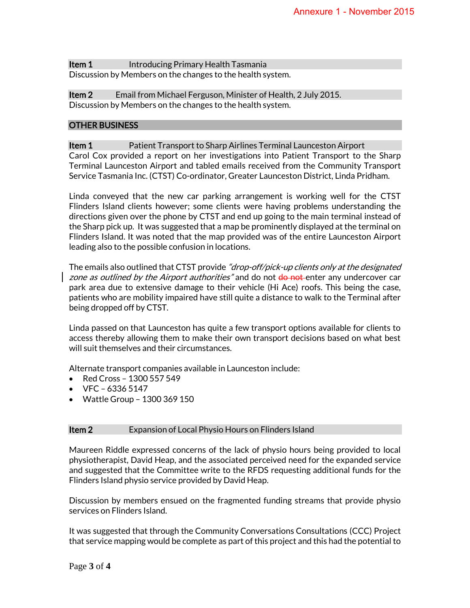**Item 1** Introducing Primary Health Tasmania Discussion by Members on the changes to the health system.

**Item 2** Email from Michael Ferguson, Minister of Health, 2 July 2015. Discussion by Members on the changes to the health system.

#### OTHER BUSINESS

**Item 1** Patient Transport to Sharp Airlines Terminal Launceston Airport Carol Cox provided a report on her investigations into Patient Transport to the Sharp Terminal Launceston Airport and tabled emails received from the Community Transport Service Tasmania Inc. (CTST) Co-ordinator, Greater Launceston District, Linda Pridham.

Linda conveyed that the new car parking arrangement is working well for the CTST Flinders Island clients however; some clients were having problems understanding the directions given over the phone by CTST and end up going to the main terminal instead of the Sharp pick up. It was suggested that a map be prominently displayed at the terminal on Flinders Island. It was noted that the map provided was of the entire Launceston Airport leading also to the possible confusion in locations.

The emails also outlined that CTST provide "*drop-off/pick-up clients only at the designated* zone as outlined by the Airport authorities" and do not do not enter any undercover car park area due to extensive damage to their vehicle (Hi Ace) roofs. This being the case, patients who are mobility impaired have still quite a distance to walk to the Terminal after being dropped off by CTST.

Linda passed on that Launceston has quite a few transport options available for clients to access thereby allowing them to make their own transport decisions based on what best will suit themselves and their circumstances.

Alternate transport companies available in Launceston include:

- Red Cross  $1300557549$
- VFC 6336 5147
- Wattle Group 1300 369 150

#### **Item 2** Expansion of Local Physio Hours on Flinders Island

Maureen Riddle expressed concerns of the lack of physio hours being provided to local physiotherapist, David Heap, and the associated perceived need for the expanded service and suggested that the Committee write to the RFDS requesting additional funds for the Flinders Island physio service provided by David Heap.

Discussion by members ensued on the fragmented funding streams that provide physio services on Flinders Island.

It was suggested that through the Community Conversations Consultations (CCC) Project that service mapping would be complete as part of this project and this had the potential to